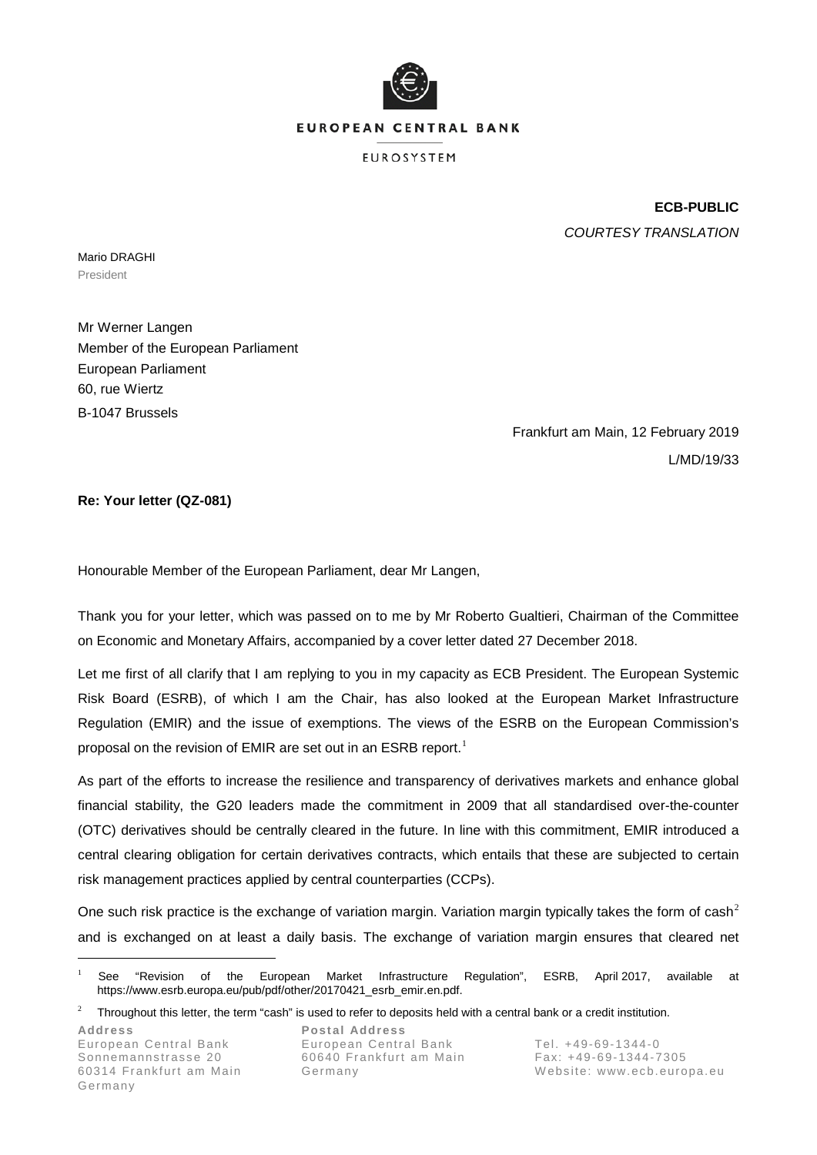

**EUROSYSTEM** 

**ECB-PUBLIC** *COURTESY TRANSLATION*

Mario DRAGHI President

Mr Werner Langen Member of the European Parliament European Parliament 60, rue Wiertz B-1047 Brussels

> Frankfurt am Main, 12 February 2019 L/MD/19/33

**Re: Your letter (QZ-081)**

Honourable Member of the European Parliament, dear Mr Langen,

Thank you for your letter, which was passed on to me by Mr Roberto Gualtieri, Chairman of the Committee on Economic and Monetary Affairs, accompanied by a cover letter dated 27 December 2018.

Let me first of all clarify that I am replying to you in my capacity as ECB President. The European Systemic Risk Board (ESRB), of which I am the Chair, has also looked at the European Market Infrastructure Regulation (EMIR) and the issue of exemptions. The views of the ESRB on the European Commission's proposal on the revision of EMIR are set out in an ESRB report.<sup>[1](#page-0-0)</sup>

As part of the efforts to increase the resilience and transparency of derivatives markets and enhance global financial stability, the G20 leaders made the commitment in 2009 that all standardised over-the-counter (OTC) derivatives should be centrally cleared in the future. In line with this commitment, EMIR introduced a central clearing obligation for certain derivatives contracts, which entails that these are subjected to certain risk management practices applied by central counterparties (CCPs).

One such risk practice is the exchange of variation margin. Variation margin typically takes the form of cash<sup>[2](#page-0-1)</sup> and is exchanged on at least a daily basis. The exchange of variation margin ensures that cleared net

<span id="page-0-0"></span><sup>&</sup>lt;sup>1</sup> See "Revision of the European Market Infrastructure Regulation", ESRB, April 2017, available at https://www.esrb.europa.eu/pub/pdf/other/20170421\_esrb\_emir.en.pdf.

<span id="page-0-1"></span> $2^2$  Throughout this letter, the term "cash" is used to refer to deposits held with a central bank or a credit institution.